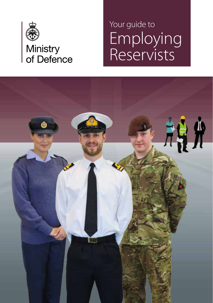

### Employing Reservists Your guide to

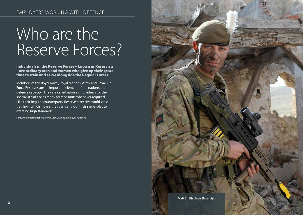# Who are the Reserve Forces?

Individuals in the Reserve Forces – known as Reservists – are ordinary men and women who give up their spare time to train and serve alongside the Regular Forces.

Members of the Royal Naval, Royal Marines, Army and Royal Air Force Reserves are an important element of the nation's total defence capacity. They are called upon as individuals for their specialist skills or as ready-formed units whenever required. Like their Regular counterparts, Reservists receive world-class training– which means they can carry out their same roles to exacting high standards.

For further information visit: www.gov.uk/mod/employer-relations

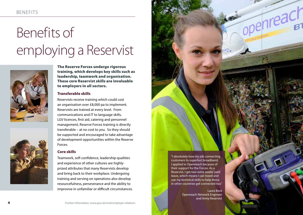# Benefits of employing a Reservist





The Reserve Forces undergo rigorous training, which develops key skills such as leadership, teamwork and organisation. These core Reservist skills are invaluable to employers in all sectors.

### Transferable skills

Reservists receive training which could cost an organisation over £8,000 pa to implement. Reservists are trained at every level. From communications and IT to language skills, LGV licences, first aid, catering and personnel management, Reserve Forces training is directly transferable – at no cost to you. So they should be supported and encouraged to take advantage of development opportunities within the Reserve Forces.

### Core skills

Teamwork, self-confidence, leadership qualities and experience of other cultures are highlyprized attributes that many Reservists develop and bring back to their workplace. Undergoing training and serving on operations also develop resourcefulness, perseverance and the ability to improvise in unfamiliar or difficult circumstances. "I absolutely love my job connecting customers to superfast broadband. I applied to Openreach because of their support for the Forces. As a Reservist, I get two extra weeks' paid leave, which means I can travel and use my technical skills to help those in other countries get connected too."

> Laura Beck Openreach Network Engineer and Army Reservist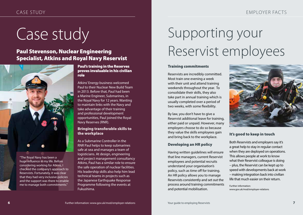## Case study

### Paul Stevenson, Nuclear Engineering Specialist, Atkins and Royal Navy Reservist



"The Royal Navy has been a huge influence in my life. Before considering working for Atkins, I checked the company's approach to Reservists. Fortunately, it was clear that they had very inclusive policies and the support was there to enable me to manage both commitments."

### Paul's training in the Reserves proves invaluable in his civilian role

Atkins' Energy business welcomed Paul to their Nuclear New Build Team in 2013. Before that, Paul had been a Marine Engineer, Submarines, in the Royal Navy for 12 years. Wanting to maintain links with the Navy and take advantage of their training and professional development opportunities, Paul joined the Royal Navy Reserves (RNR).

### Bringing transferable skills to the workplace

As a Submarine Controller in the RNR Paul helps to keep submarines safe at sea and manages a team of logisticians. At design, engineering and project management consultancy Atkins, Paul has a similar role to ensure the safe operation of nuclear facilities. His leadership skills also help him lead technical teams in projects such as the Japanese Earthquake Response Programme following the events at Fukushima.

## Supporting your Reservist employees

### Training commitments

Reservists are incredibly committed. Most train one evening a week with their unit and attend training weekends throughout the year. To consolidate their skills, they also take part in annual training which is usually completed over a period of two weeks, with some flexibility.

By law, you don't have to give a Reservist additional leave for training, either paid or unpaid. However, many employers choose to do so because they value the skills employees gain and bring back to the workplace.

### Developing an HR policy

Having written guidelines will ensure that line managers, current Reservist employees and potential recruits understand your organisation's policy, such as time off for training. An HR policy allows you to manage Reservists consistently and set out the process around training commitments and potential mobilisation.



### It's good to keep in touch

Both Reservists and employers say it's a great help to stay in regular contact when they are deployed on operations. This allows people at work to know what their Reservist colleague is doing – plus, the Reservist can be kept up to speed with developments back at work – making integration back into civilian life that much easier on their return.

Further information: www.gov.uk/mod/employer-relations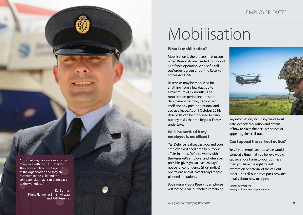### EMPLOYER FACTS

## Mobilisation

#### What is mobilisation?

Mobilisation is the process that occurs when Reservists are needed to support a Defence operation. A specific 'call out' order is given under the Reserve Forces Act 1996.

Reservists may be mobilised for anything from a few days up to a maximum of 12 months. The mobilisation period includes predeployment training, deployment itself and any post-operational and accrued leave. As of 1 October 2014, Reservists can be mobilised to carry out any tasks that the Regular Forces undertake.

#### Will I be notified if my employee is mobilised?

Yes. Defence realises that you and your employee will need time to put your affairs in order. Defence works with the Reservist's employer and wherever possible, gives you at least 28 days' notice for contingency (short notice) operations and at least 90 days for preplanned operations.

Both you and your Reservist employee will receive a call-out notice containing



key information, including the call-out date, expected duration and details of how to claim financial assistance or appeal against call-out.

### Can I appeal the call-out notice?

Yes. If your employee's absence would come at a time that you believe would cause serious harm to your business then you have the right to seek exemption or deferral of the call-out order. The call-out notice pack provides details about how to appeal.

Further information: www.gov.uk/mod/employer-relations

"British Airways are very supportive of my role with the RAF Reserves. They have enabled me to go out of the organisation and they are receptive to the skills and the competencies that I can bring back to the workplace."

**BENEFITS** 

Kai Burman Flight Planner at British Airways and RAF Reservist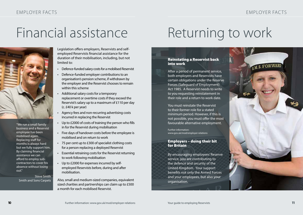### Financial assistance



"We run a small family business and a Reservist employee has been mobilised again. Replacing staff for months is always hard but we fully support him. By claiming financial assistance we can afford to employ subcontractors to cover his absence without losing out."

Steve Smith Smith and Sons Carpets

Legislation offers employers, Reservists and selfemployed Reservists financial assistance for the duration of their mobilisation, including, but not limited to:

- Defence-funded salary costs for a mobilised Reservist<br>• Defence-funded employer contributions to an
- organisation's pension scheme, if withdrawn by the employer and the Reservist chooses to remain within this scheme
- Additional salary costs for a temporary replacement or overtime costs if they exceed the Reservist's salary up to a maximum of £110 per day (c. £40 k per year)
- Agency fees and non-recurring advertising costs incurred in replacing the Reservist
- Up to £2000 of costs of training the person who fills in for the Reservist during mobilisation
- Five days of handover costs before the employee is mobilised and on return to work
- 75 per cent up to £300 of specialist clothing costs for a person replacing a deployed Reservist
- Essential retraining costs for the Reservist returning to work following mobilisation
- Up to £2000 for expenses incurred by selfemployed Reservists before, during and after mobilisation.

Also, small and medium-sized companies, equivalent sized charities and partnerships can claim up to £500 a month for each mobilised Reservist.

### Returning to work

### Reinstating a Reservist back into work

After a period of permanent service, both employers and Reservists have certain obligations under the Reserve Forces (Safeguard of Employment) Act 1985. A Reservist needs to write to you requesting reinstatement in their role and a return to work date.

You must reinstate the Reservist to their former role for a stated minimum period. However, if this is not possible, you must offer the most favourable alternative employment.

Further information: www.gov.uk/mod/employer-relations

### Employers – doing their bit for Britain

By encouraging employees' Reserve service, you are contributing to the defence and security of the United Kingdom. Your support benefits not only the Armed Forces and your employees, but also your organisation.